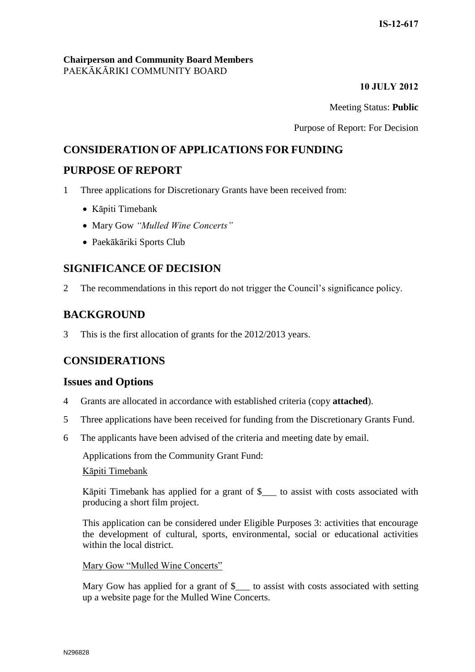### **Chairperson and Community Board Members** PAEKĀKĀRIKI COMMUNITY BOARD

### **10 JULY 2012**

Meeting Status: **Public**

Purpose of Report: For Decision

# **CONSIDERATION OF APPLICATIONS FOR FUNDING**

# **PURPOSE OF REPORT**

1 Three applications for Discretionary Grants have been received from:

- Kāpiti Timebank
- Mary Gow *"Mulled Wine Concerts"*
- Paekākāriki Sports Club

# **SIGNIFICANCE OF DECISION**

2 The recommendations in this report do not trigger the Council's significance policy.

# **BACKGROUND**

3 This is the first allocation of grants for the 2012/2013 years.

# **CONSIDERATIONS**

### **Issues and Options**

- 4 Grants are allocated in accordance with established criteria (copy **attached**).
- 5 Three applications have been received for funding from the Discretionary Grants Fund.
- 6 The applicants have been advised of the criteria and meeting date by email.

Applications from the Community Grant Fund:

### Kāpiti Timebank

Kāpiti Timebank has applied for a grant of \$\_\_\_ to assist with costs associated with producing a short film project.

This application can be considered under Eligible Purposes 3: activities that encourage the development of cultural, sports, environmental, social or educational activities within the local district.

### Mary Gow "Mulled Wine Concerts"

Mary Gow has applied for a grant of \$\_\_\_ to assist with costs associated with setting up a website page for the Mulled Wine Concerts.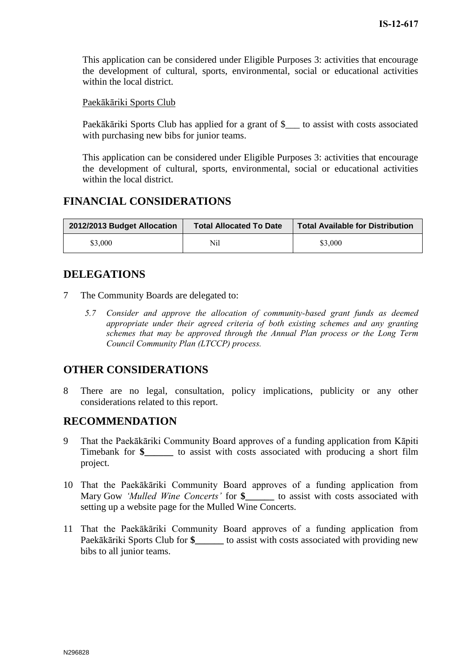This application can be considered under Eligible Purposes 3: activities that encourage the development of cultural, sports, environmental, social or educational activities within the local district.

### Paekākāriki Sports Club

Paekākāriki Sports Club has applied for a grant of \$\_\_\_ to assist with costs associated with purchasing new bibs for junior teams.

This application can be considered under Eligible Purposes 3: activities that encourage the development of cultural, sports, environmental, social or educational activities within the local district.

# **FINANCIAL CONSIDERATIONS**

| 2012/2013 Budget Allocation | <b>Total Allocated To Date</b> | <b>Total Available for Distribution</b> |
|-----------------------------|--------------------------------|-----------------------------------------|
| \$3,000                     | Nil                            | \$3,000                                 |

# **DELEGATIONS**

- 7 The Community Boards are delegated to:
	- *5.7 Consider and approve the allocation of community-based grant funds as deemed appropriate under their agreed criteria of both existing schemes and any granting schemes that may be approved through the Annual Plan process or the Long Term Council Community Plan (LTCCP) process.*

# **OTHER CONSIDERATIONS**

8 There are no legal, consultation, policy implications, publicity or any other considerations related to this report.

### **RECOMMENDATION**

- 9 That the Paekākāriki Community Board approves of a funding application from Kāpiti Timebank for **\$\_\_\_\_\_\_** to assist with costs associated with producing a short film project.
- 10 That the Paekākāriki Community Board approves of a funding application from Mary Gow *'Mulled Wine Concerts'* for **\$\_\_\_\_\_\_** to assist with costs associated with setting up a website page for the Mulled Wine Concerts.
- 11 That the Paekākāriki Community Board approves of a funding application from Paekākāriki Sports Club for **\$\_\_\_\_\_\_** to assist with costs associated with providing new bibs to all junior teams.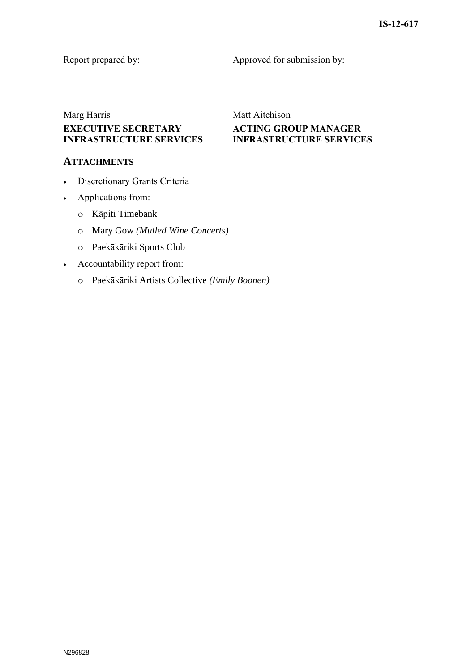Report prepared by: Approved for submission by:

**ACTING GROUP MANAGER INFRASTRUCTURE SERVICES**

# Marg Harris Matt Aitchison **EXECUTIVE SECRETARY INFRASTRUCTURE SERVICES**

## **ATTACHMENTS**

- Discretionary Grants Criteria
- Applications from:
	- o Kāpiti Timebank
	- o Mary Gow *(Mulled Wine Concerts)*
	- o Paekākāriki Sports Club
- Accountability report from:
	- o Paekākāriki Artists Collective *(Emily Boonen)*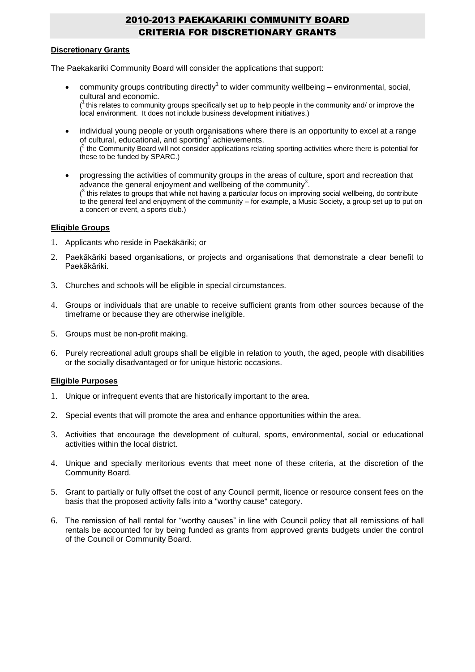## 2010-2013 PAEKAKARIKI COMMUNITY BOARD CRITERIA FOR DISCRETIONARY GRANTS

#### **Discretionary Grants**

The Paekakariki Community Board will consider the applications that support:

• community groups contributing directly<sup>1</sup> to wider community wellbeing – environmental, social, cultural and economic.

 $(1)$  this relates to community groups specifically set up to help people in the community and/ or improve the local environment. It does not include business development initiatives.)

- individual young people or youth organisations where there is an opportunity to excel at a range of cultural, educational, and sporting<sup>2</sup> achievements.  $(2)$  the Community Board will not consider applications relating sporting activities where there is potential for these to be funded by SPARC.)
- progressing the activities of community groups in the areas of culture, sport and recreation that advance the general enjoyment and wellbeing of the community<sup>3</sup>.  $(3)$  this relates to groups that while not having a particular focus on improving social wellbeing, do contribute to the general feel and enjoyment of the community – for example, a Music Society, a group set up to put on a concert or event, a sports club.)

#### **Eligible Groups**

- 1. Applicants who reside in Paekākāriki; or
- 2. Paekākāriki based organisations, or projects and organisations that demonstrate a clear benefit to Paekākāriki.
- 3. Churches and schools will be eligible in special circumstances.
- 4. Groups or individuals that are unable to receive sufficient grants from other sources because of the timeframe or because they are otherwise ineligible.
- 5. Groups must be non-profit making.
- 6. Purely recreational adult groups shall be eligible in relation to youth, the aged, people with disabilities or the socially disadvantaged or for unique historic occasions.

#### **Eligible Purposes**

- 1. Unique or infrequent events that are historically important to the area.
- 2. Special events that will promote the area and enhance opportunities within the area.
- 3. Activities that encourage the development of cultural, sports, environmental, social or educational activities within the local district.
- 4. Unique and specially meritorious events that meet none of these criteria, at the discretion of the Community Board.
- 5. Grant to partially or fully offset the cost of any Council permit, licence or resource consent fees on the basis that the proposed activity falls into a "worthy cause" category.
- 6. The remission of hall rental for "worthy causes" in line with Council policy that all remissions of hall rentals be accounted for by being funded as grants from approved grants budgets under the control of the Council or Community Board.